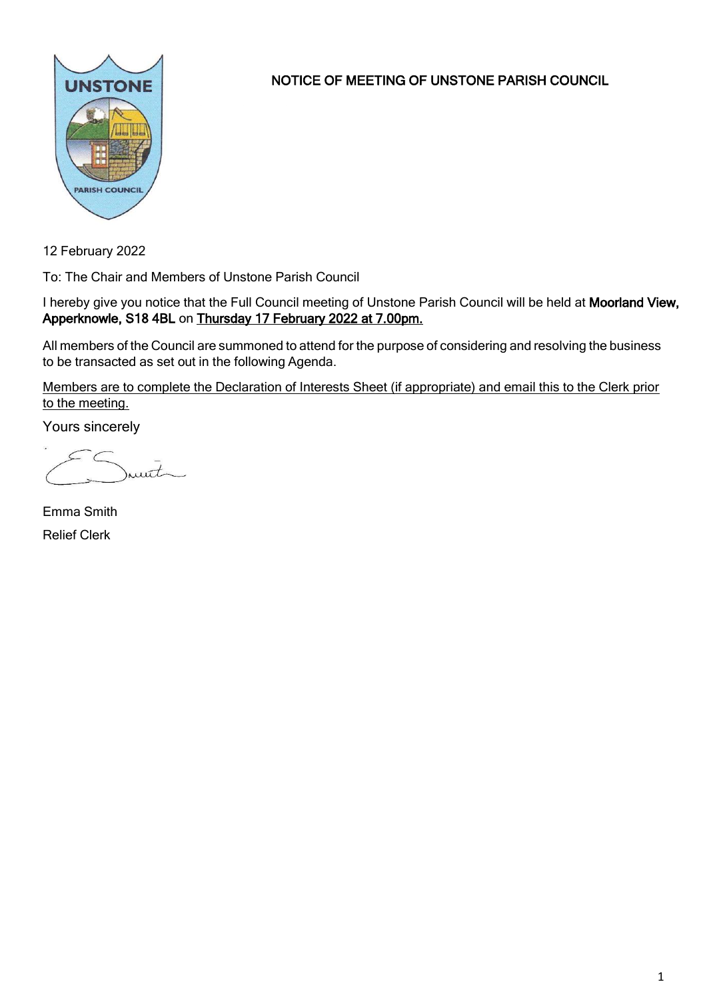

NOTICE OF MEETING OF UNSTONE PARISH COUNCIL

12 February 2022

To: The Chair and Members of Unstone Parish Council

I hereby give you notice that the Full Council meeting of Unstone Parish Council will be held at Moorland View, Apperknowle, S18 4BL on Thursday 17 February 2022 at 7.00pm.

All members of the Council are summoned to attend for the purpose of considering and resolving the business to be transacted as set out in the following Agenda.

Members are to complete the Declaration of Interests Sheet (if appropriate) and email this to the Clerk prior to the meeting.

Yours sincerely

munt

Emma Smith Relief Clerk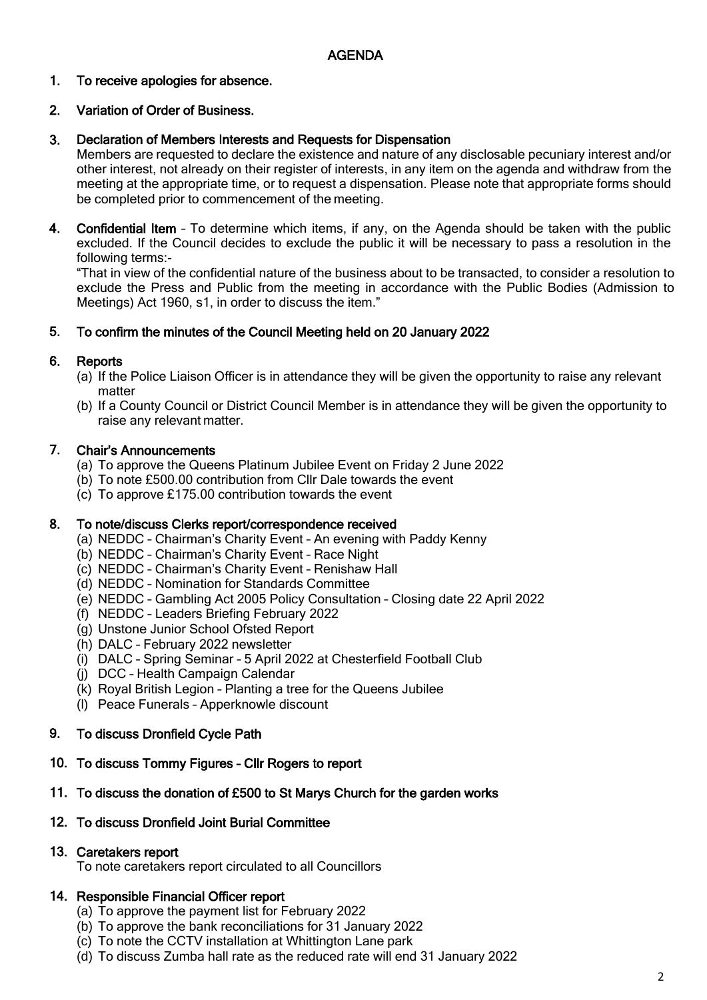### 1. To receive apologies for absence.

### 2. Variation of Order of Business.

### 3. Declaration of Members Interests and Requests for Dispensation

Members are requested to declare the existence and nature of any disclosable pecuniary interest and/or other interest, not already on their register of interests, in any item on the agenda and withdraw from the meeting at the appropriate time, or to request a dispensation. Please note that appropriate forms should be completed prior to commencement of the meeting.

4. Confidential Item – To determine which items, if any, on the Agenda should be taken with the public excluded. If the Council decides to exclude the public it will be necessary to pass a resolution in the following terms:-

"That in view of the confidential nature of the business about to be transacted, to consider a resolution to exclude the Press and Public from the meeting in accordance with the Public Bodies (Admission to Meetings) Act 1960, s1, in order to discuss the item."

### 5. To confirm the minutes of the Council Meeting held on 20 January 2022

### 6. **Reports**

- (a) If the Police Liaison Officer is in attendance they will be given the opportunity to raise any relevant matter
- (b) If a County Council or District Council Member is in attendance they will be given the opportunity to raise any relevant matter.

#### 7. Chair's Announcements

- (a) To approve the Queens Platinum Jubilee Event on Friday 2 June 2022
- (b) To note £500.00 contribution from Cllr Dale towards the event
- (c) To approve £175.00 contribution towards the event

### 8. To note/discuss Clerks report/correspondence received

- (a) NEDDC Chairman's Charity Event An evening with Paddy Kenny
- (b) NEDDC Chairman's Charity Event Race Night
- (c) NEDDC Chairman's Charity Event Renishaw Hall
- (d) NEDDC Nomination for Standards Committee
- (e) NEDDC Gambling Act 2005 Policy Consultation Closing date 22 April 2022
- (f) NEDDC Leaders Briefing February 2022
- (g) Unstone Junior School Ofsted Report
- (h) DALC February 2022 newsletter
- (i) DALC Spring Seminar 5 April 2022 at Chesterfield Football Club
- (j) DCC Health Campaign Calendar
- (k) Royal British Legion Planting a tree for the Queens Jubilee
- (l) Peace Funerals Apperknowle discount

### 9. To discuss Dronfield Cycle Path

## 10. To discuss Tommy Figures – Cllr Rogers to report

## 11. To discuss the donation of £500 to St Marys Church for the garden works

### 12. To discuss Dronfield Joint Burial Committee

## 13. Caretakers report

To note caretakers report circulated to all Councillors

## 14. Responsible Financial Officer report

- (a) To approve the payment list for February 2022
- (b) To approve the bank reconciliations for 31 January 2022
- (c) To note the CCTV installation at Whittington Lane park
- (d) To discuss Zumba hall rate as the reduced rate will end 31 January 2022